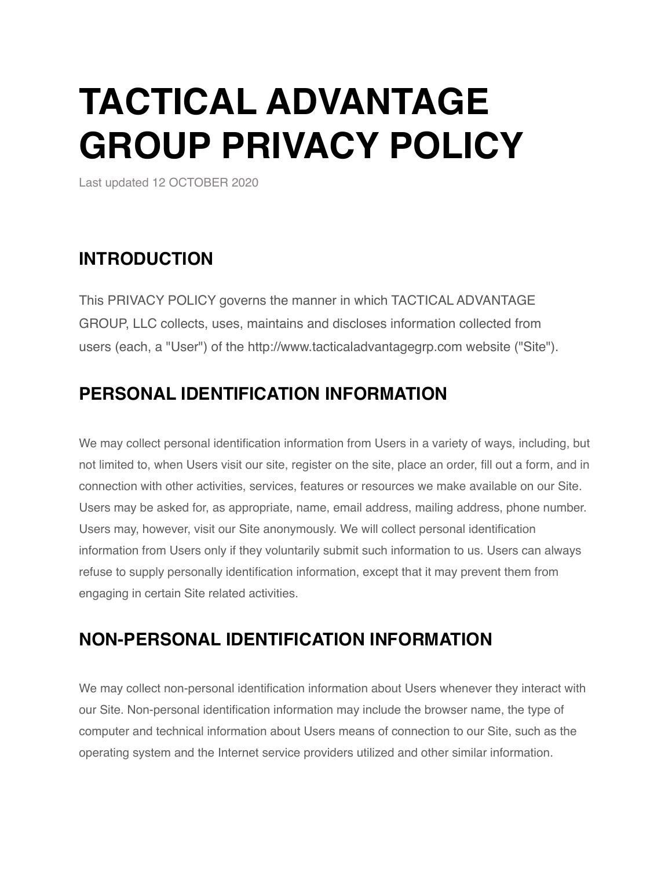# **TACTICAL ADVANTAGE GROUP PRIVACY POLICY**

Last updated 12 OCTOBER 2020

## **INTRODUCTION**

This PRIVACY POLICY governs the manner in which TACTICAL ADVANTAGE GROUP, LLC collects, uses, maintains and discloses information collected from users (each, a "User") of the http://www.tacticaladvantagegrp.com website ("Site").

## **PERSONAL IDENTIFICATION INFORMATION**

We may collect personal identification information from Users in a variety of ways, including, but not limited to, when Users visit our site, register on the site, place an order, fill out a form, and in connection with other activities, services, features or resources we make available on our Site. Users may be asked for, as appropriate, name, email address, mailing address, phone number. Users may, however, visit our Site anonymously. We will collect personal identification information from Users only if they voluntarily submit such information to us. Users can always refuse to supply personally identification information, except that it may prevent them from engaging in certain Site related activities.

## **NON-PERSONAL IDENTIFICATION INFORMATION**

We may collect non-personal identification information about Users whenever they interact with our Site. Non-personal identification information may include the browser name, the type of computer and technical information about Users means of connection to our Site, such as the operating system and the Internet service providers utilized and other similar information.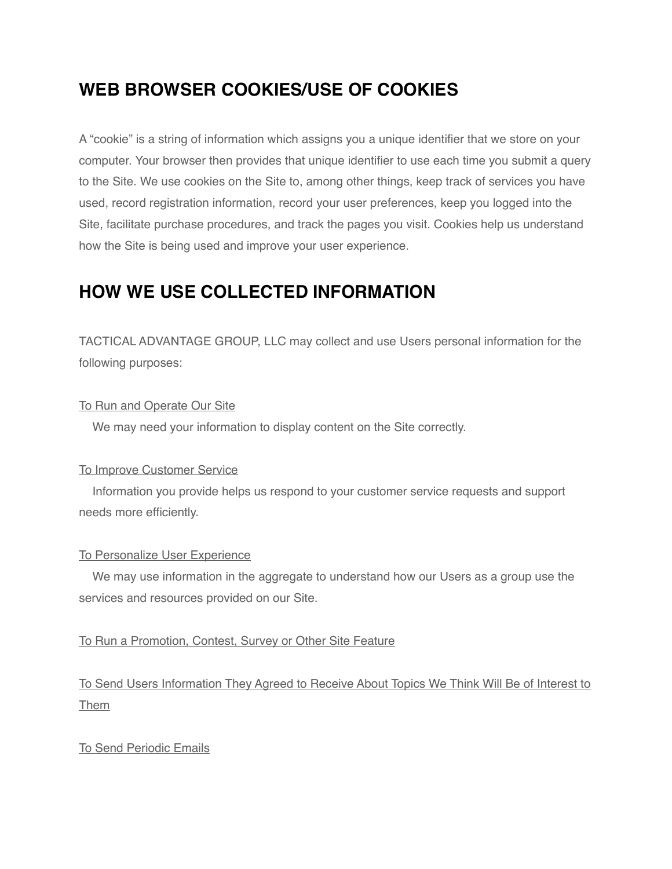## **WEB BROWSER COOKIES/USE OF COOKIES**

A "cookie" is a string of information which assigns you a unique identifier that we store on your computer. Your browser then provides that unique identifier to use each time you submit a query to the Site. We use cookies on the Site to, among other things, keep track of services you have used, record registration information, record your user preferences, keep you logged into the Site, facilitate purchase procedures, and track the pages you visit. Cookies help us understand how the Site is being used and improve your user experience.

# **HOW WE USE COLLECTED INFORMATION**

TACTICAL ADVANTAGE GROUP, LLC may collect and use Users personal information for the following purposes:

#### To Run and Operate Our Site

We may need your information to display content on the Site correctly.

#### To Improve Customer Service

 Information you provide helps us respond to your customer service requests and support needs more efficiently.

#### To Personalize User Experience

 We may use information in the aggregate to understand how our Users as a group use the services and resources provided on our Site.

#### To Run a Promotion, Contest, Survey or Other Site Feature

To Send Users Information They Agreed to Receive About Topics We Think Will Be of Interest to Them

#### To Send Periodic Emails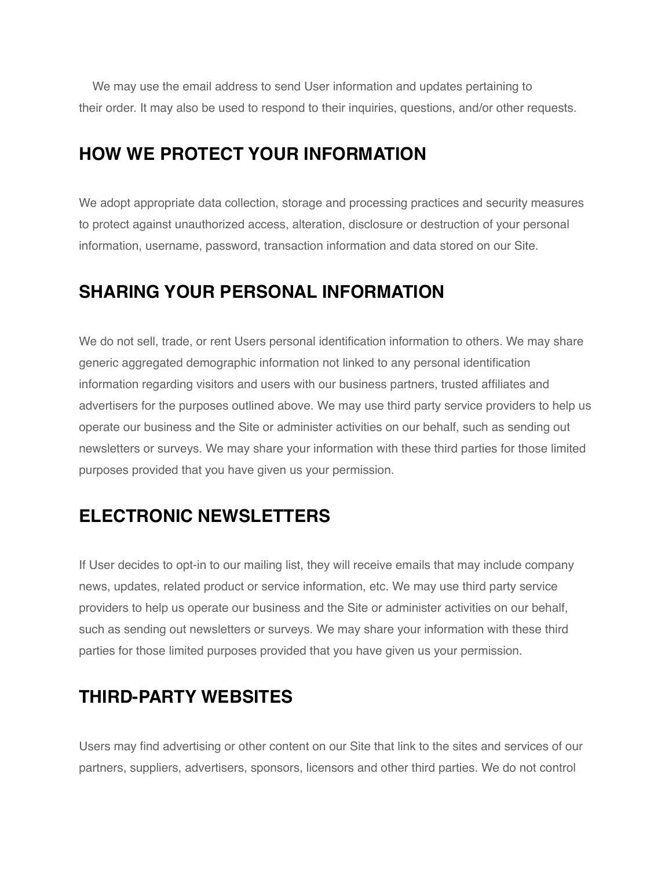We may use the email address to send User information and updates pertaining to their order. It may also be used to respond to their inquiries, questions, and/or other requests.

### **HOW WE PROTECT YOUR INFORMATION**

We adopt appropriate data collection, storage and processing practices and security measures to protect against unauthorized access, alteration, disclosure or destruction of your personal information, username, password, transaction information and data stored on our Site.

## **SHARING YOUR PERSONAL INFORMATION**

We do not sell, trade, or rent Users personal identification information to others. We may share generic aggregated demographic information not linked to any personal identification information regarding visitors and users with our business partners, trusted affiliates and advertisers for the purposes outlined above. We may use third party service providers to help us operate our business and the Site or administer activities on our behalf, such as sending out newsletters or surveys. We may share your information with these third parties for those limited purposes provided that you have given us your permission.

## **ELECTRONIC NEWSLETTERS**

If User decides to opt-in to our mailing list, they will receive emails that may include company news, updates, related product or service information, etc. We may use third party service providers to help us operate our business and the Site or administer activities on our behalf, such as sending out newsletters or surveys. We may share your information with these third parties for those limited purposes provided that you have given us your permission.

## **THIRD-PARTY WEBSITES**

Users may find advertising or other content on our Site that link to the sites and services of our partners, suppliers, advertisers, sponsors, licensors and other third parties. We do not control